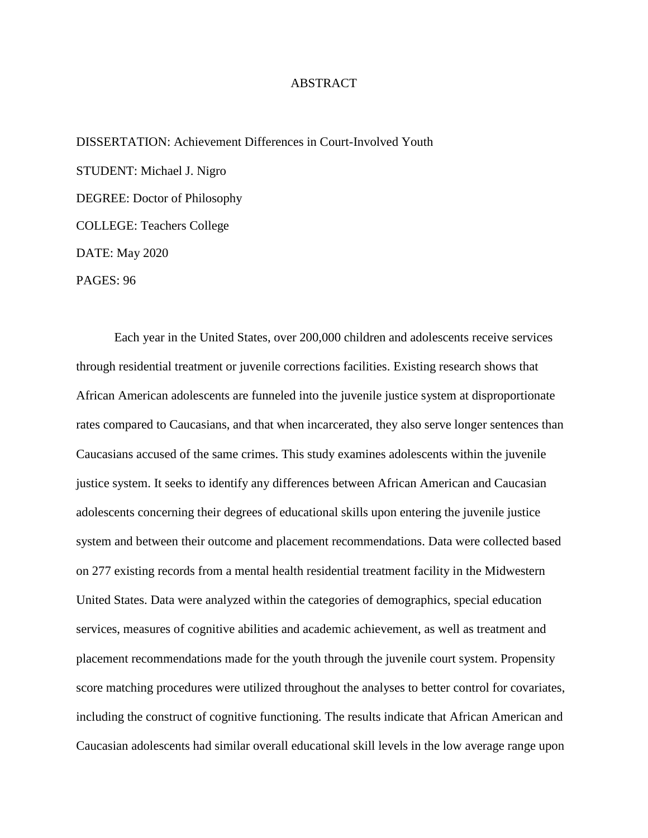## ABSTRACT

DISSERTATION: Achievement Differences in Court-Involved Youth STUDENT: Michael J. Nigro DEGREE: Doctor of Philosophy COLLEGE: Teachers College DATE: May 2020 PAGES: 96

Each year in the United States, over 200,000 children and adolescents receive services through residential treatment or juvenile corrections facilities. Existing research shows that African American adolescents are funneled into the juvenile justice system at disproportionate rates compared to Caucasians, and that when incarcerated, they also serve longer sentences than Caucasians accused of the same crimes. This study examines adolescents within the juvenile justice system. It seeks to identify any differences between African American and Caucasian adolescents concerning their degrees of educational skills upon entering the juvenile justice system and between their outcome and placement recommendations. Data were collected based on 277 existing records from a mental health residential treatment facility in the Midwestern United States. Data were analyzed within the categories of demographics, special education services, measures of cognitive abilities and academic achievement, as well as treatment and placement recommendations made for the youth through the juvenile court system. Propensity score matching procedures were utilized throughout the analyses to better control for covariates, including the construct of cognitive functioning. The results indicate that African American and Caucasian adolescents had similar overall educational skill levels in the low average range upon